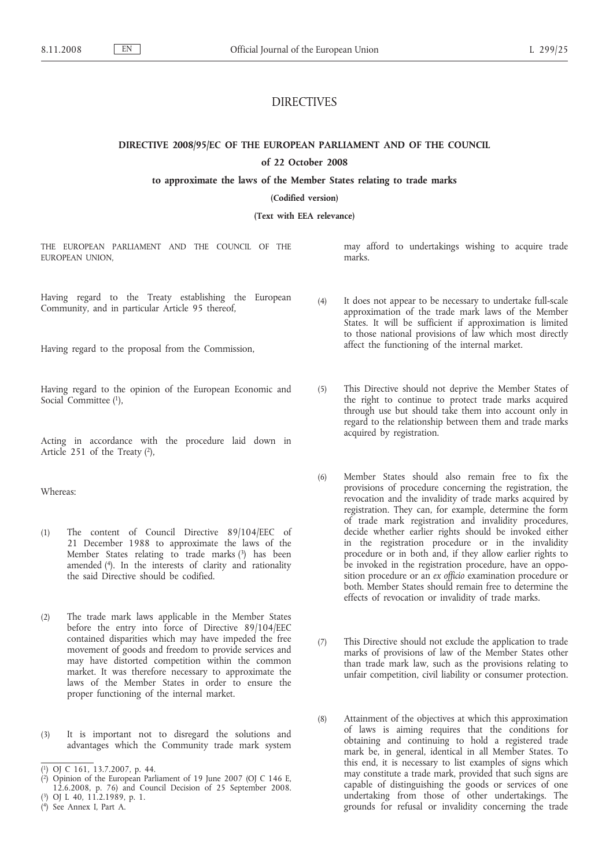# DIRECTIVES

## **DIRECTIVE 2008/95/EC OF THE EUROPEAN PARLIAMENT AND OF THE COUNCIL**

### **of 22 October 2008**

#### **to approximate the laws of the Member States relating to trade marks**

#### **(Codified version)**

**(Text with EEA relevance)**

THE EUROPEAN PARLIAMENT AND THE COUNCIL OF THE EUROPEAN UNION,

Having regard to the Treaty establishing the European Community, and in particular Article 95 thereof,

Having regard to the proposal from the Commission,

Having regard to the opinion of the European Economic and Social Committee (1),

Acting in accordance with the procedure laid down in Article 251 of the Treaty  $(2)$ ,

Whereas:

- (1) The content of Council Directive 89/104/EEC of 21 December 1988 to approximate the laws of the Member States relating to trade marks (3) has been amended (4). In the interests of clarity and rationality the said Directive should be codified.
- (2) The trade mark laws applicable in the Member States before the entry into force of Directive 89/104/EEC contained disparities which may have impeded the free movement of goods and freedom to provide services and may have distorted competition within the common market. It was therefore necessary to approximate the laws of the Member States in order to ensure the proper functioning of the internal market.
- (3) It is important not to disregard the solutions and advantages which the Community trade mark system

( 4) See Annex I, Part A.

may afford to undertakings wishing to acquire trade marks.

(4) It does not appear to be necessary to undertake full-scale approximation of the trade mark laws of the Member States. It will be sufficient if approximation is limited to those national provisions of law which most directly affect the functioning of the internal market.

(5) This Directive should not deprive the Member States of the right to continue to protect trade marks acquired through use but should take them into account only in regard to the relationship between them and trade marks acquired by registration.

- (6) Member States should also remain free to fix the provisions of procedure concerning the registration, the revocation and the invalidity of trade marks acquired by registration. They can, for example, determine the form of trade mark registration and invalidity procedures, decide whether earlier rights should be invoked either in the registration procedure or in the invalidity procedure or in both and, if they allow earlier rights to be invoked in the registration procedure, have an opposition procedure or an *ex officio* examination procedure or both. Member States should remain free to determine the effects of revocation or invalidity of trade marks.
- (7) This Directive should not exclude the application to trade marks of provisions of law of the Member States other than trade mark law, such as the provisions relating to unfair competition, civil liability or consumer protection.
- (8) Attainment of the objectives at which this approximation of laws is aiming requires that the conditions for obtaining and continuing to hold a registered trade mark be, in general, identical in all Member States. To this end, it is necessary to list examples of signs which may constitute a trade mark, provided that such signs are capable of distinguishing the goods or services of one undertaking from those of other undertakings. The grounds for refusal or invalidity concerning the trade

<sup>(</sup> 1) OJ C 161, 13.7.2007, p. 44.

<sup>(</sup> 2) Opinion of the European Parliament of 19 June 2007 (OJ C 146 E, 12.6.2008, p. 76) and Council Decision of 25 September 2008.

<sup>(</sup> 3) OJ L 40, 11.2.1989, p. 1.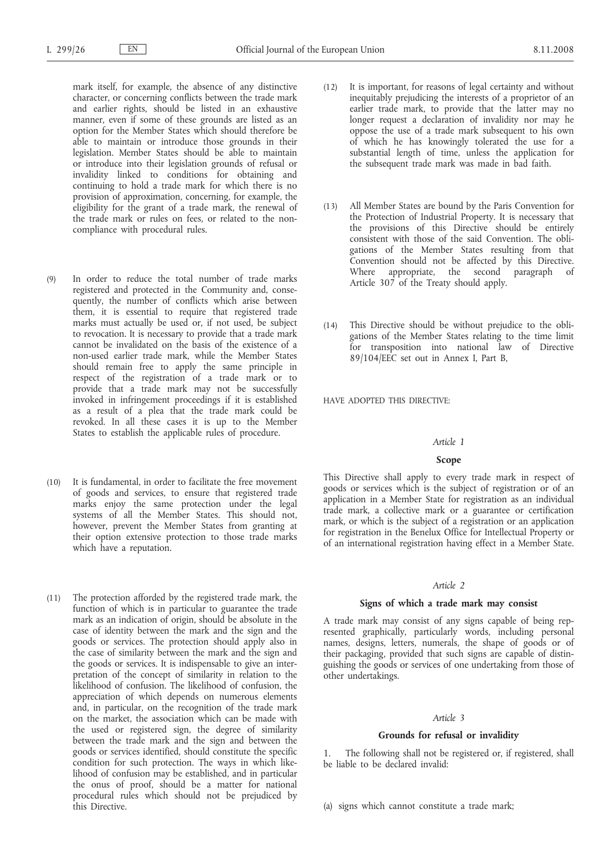mark itself, for example, the absence of any distinctive character, or concerning conflicts between the trade mark and earlier rights, should be listed in an exhaustive manner, even if some of these grounds are listed as an option for the Member States which should therefore be able to maintain or introduce those grounds in their legislation. Member States should be able to maintain or introduce into their legislation grounds of refusal or invalidity linked to conditions for obtaining and continuing to hold a trade mark for which there is no provision of approximation, concerning, for example, the eligibility for the grant of a trade mark, the renewal of the trade mark or rules on fees, or related to the noncompliance with procedural rules.

- (9) In order to reduce the total number of trade marks registered and protected in the Community and, consequently, the number of conflicts which arise between them, it is essential to require that registered trade marks must actually be used or, if not used, be subject to revocation. It is necessary to provide that a trade mark cannot be invalidated on the basis of the existence of a non-used earlier trade mark, while the Member States should remain free to apply the same principle in respect of the registration of a trade mark or to provide that a trade mark may not be successfully invoked in infringement proceedings if it is established as a result of a plea that the trade mark could be revoked. In all these cases it is up to the Member States to establish the applicable rules of procedure.
- (10) It is fundamental, in order to facilitate the free movement of goods and services, to ensure that registered trade marks enjoy the same protection under the legal systems of all the Member States. This should not, however, prevent the Member States from granting at their option extensive protection to those trade marks which have a reputation.
- (11) The protection afforded by the registered trade mark, the function of which is in particular to guarantee the trade mark as an indication of origin, should be absolute in the case of identity between the mark and the sign and the goods or services. The protection should apply also in the case of similarity between the mark and the sign and the goods or services. It is indispensable to give an interpretation of the concept of similarity in relation to the likelihood of confusion. The likelihood of confusion, the appreciation of which depends on numerous elements and, in particular, on the recognition of the trade mark on the market, the association which can be made with the used or registered sign, the degree of similarity between the trade mark and the sign and between the goods or services identified, should constitute the specific condition for such protection. The ways in which likelihood of confusion may be established, and in particular the onus of proof, should be a matter for national procedural rules which should not be prejudiced by this Directive.
- (12) It is important, for reasons of legal certainty and without inequitably prejudicing the interests of a proprietor of an earlier trade mark, to provide that the latter may no longer request a declaration of invalidity nor may he oppose the use of a trade mark subsequent to his own of which he has knowingly tolerated the use for a substantial length of time, unless the application for the subsequent trade mark was made in bad faith.
- (13) All Member States are bound by the Paris Convention for the Protection of Industrial Property. It is necessary that the provisions of this Directive should be entirely consistent with those of the said Convention. The obligations of the Member States resulting from that Convention should not be affected by this Directive. Where appropriate, the second paragraph of Article 307 of the Treaty should apply.
- (14) This Directive should be without prejudice to the obligations of the Member States relating to the time limit for transposition into national law of Directive 89/104/EEC set out in Annex I, Part B,

HAVE ADOPTED THIS DIRECTIVE:

#### *Article 1*

## **Scope**

This Directive shall apply to every trade mark in respect of goods or services which is the subject of registration or of an application in a Member State for registration as an individual trade mark, a collective mark or a guarantee or certification mark, or which is the subject of a registration or an application for registration in the Benelux Office for Intellectual Property or of an international registration having effect in a Member State.

#### *Article 2*

#### **Signs of which a trade mark may consist**

A trade mark may consist of any signs capable of being represented graphically, particularly words, including personal names, designs, letters, numerals, the shape of goods or of their packaging, provided that such signs are capable of distinguishing the goods or services of one undertaking from those of other undertakings.

#### *Article 3*

### **Grounds for refusal or invalidity**

1. The following shall not be registered or, if registered, shall be liable to be declared invalid:

(a) signs which cannot constitute a trade mark;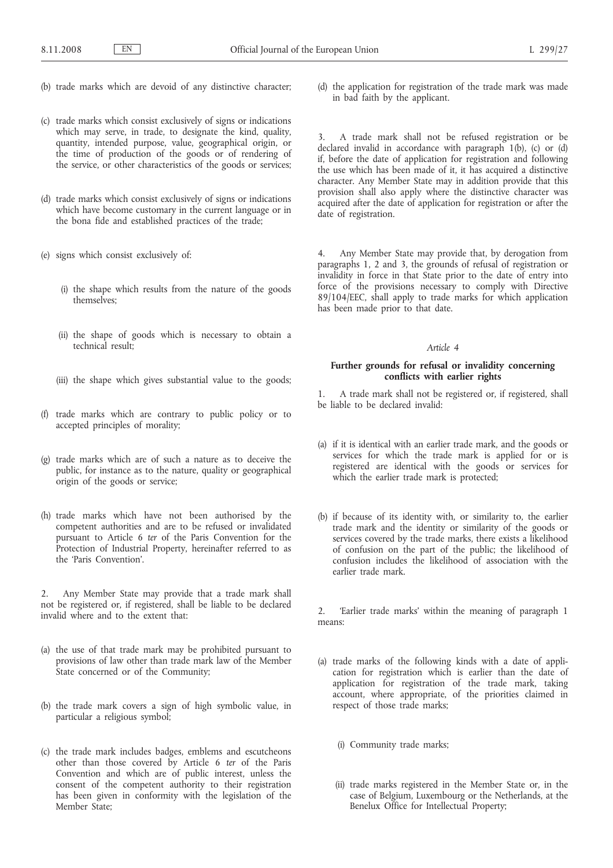- (b) trade marks which are devoid of any distinctive character;
- (c) trade marks which consist exclusively of signs or indications which may serve, in trade, to designate the kind, quality, quantity, intended purpose, value, geographical origin, or the time of production of the goods or of rendering of the service, or other characteristics of the goods or services;
- (d) trade marks which consist exclusively of signs or indications which have become customary in the current language or in the bona fide and established practices of the trade;
- (e) signs which consist exclusively of:
	- (i) the shape which results from the nature of the goods themselves;
	- (ii) the shape of goods which is necessary to obtain a technical result;
	- (iii) the shape which gives substantial value to the goods;
- (f) trade marks which are contrary to public policy or to accepted principles of morality;
- (g) trade marks which are of such a nature as to deceive the public, for instance as to the nature, quality or geographical origin of the goods or service;
- (h) trade marks which have not been authorised by the competent authorities and are to be refused or invalidated pursuant to Article 6 *ter* of the Paris Convention for the Protection of Industrial Property, hereinafter referred to as the 'Paris Convention'.

2. Any Member State may provide that a trade mark shall not be registered or, if registered, shall be liable to be declared invalid where and to the extent that:

- (a) the use of that trade mark may be prohibited pursuant to provisions of law other than trade mark law of the Member State concerned or of the Community;
- (b) the trade mark covers a sign of high symbolic value, in particular a religious symbol;
- (c) the trade mark includes badges, emblems and escutcheons other than those covered by Article 6 *ter* of the Paris Convention and which are of public interest, unless the consent of the competent authority to their registration has been given in conformity with the legislation of the Member State;

(d) the application for registration of the trade mark was made in bad faith by the applicant.

3. A trade mark shall not be refused registration or be declared invalid in accordance with paragraph 1(b), (c) or (d) if, before the date of application for registration and following the use which has been made of it, it has acquired a distinctive character. Any Member State may in addition provide that this provision shall also apply where the distinctive character was acquired after the date of application for registration or after the date of registration.

4. Any Member State may provide that, by derogation from paragraphs 1, 2 and 3, the grounds of refusal of registration or invalidity in force in that State prior to the date of entry into force of the provisions necessary to comply with Directive 89/104/EEC, shall apply to trade marks for which application has been made prior to that date.

#### *Article 4*

### **Further grounds for refusal or invalidity concerning conflicts with earlier rights**

1. A trade mark shall not be registered or, if registered, shall be liable to be declared invalid:

- (a) if it is identical with an earlier trade mark, and the goods or services for which the trade mark is applied for or is registered are identical with the goods or services for which the earlier trade mark is protected;
- (b) if because of its identity with, or similarity to, the earlier trade mark and the identity or similarity of the goods or services covered by the trade marks, there exists a likelihood of confusion on the part of the public; the likelihood of confusion includes the likelihood of association with the earlier trade mark.

2. 'Earlier trade marks' within the meaning of paragraph 1 means:

(a) trade marks of the following kinds with a date of application for registration which is earlier than the date of application for registration of the trade mark, taking account, where appropriate, of the priorities claimed in respect of those trade marks;

(i) Community trade marks;

(ii) trade marks registered in the Member State or, in the case of Belgium, Luxembourg or the Netherlands, at the Benelux Office for Intellectual Property;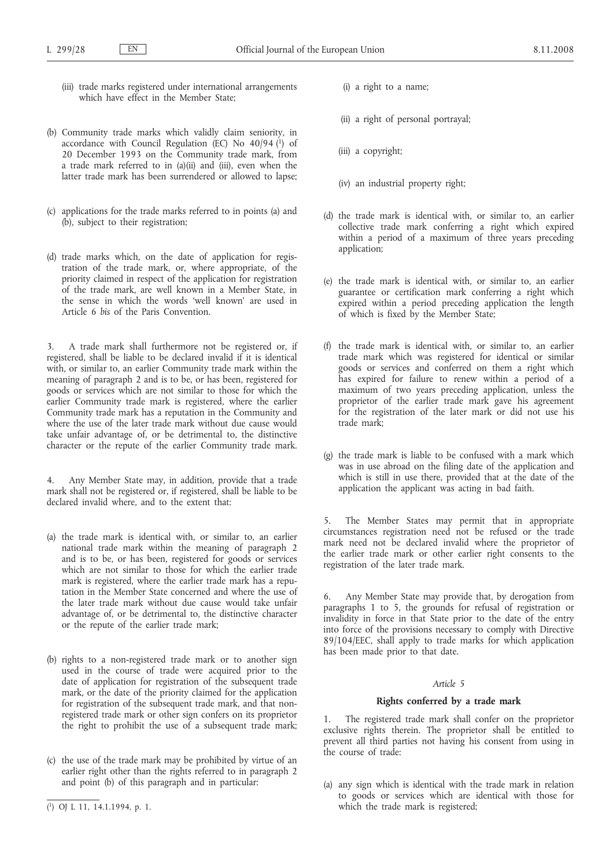- (iii) trade marks registered under international arrangements which have effect in the Member State;
- (b) Community trade marks which validly claim seniority, in accordance with Council Regulation (EC) No  $40/94$  (1) of 20 December 1993 on the Community trade mark, from a trade mark referred to in (a)(ii) and (iii), even when the latter trade mark has been surrendered or allowed to lapse;
- (c) applications for the trade marks referred to in points (a) and (b), subject to their registration;
- (d) trade marks which, on the date of application for registration of the trade mark, or, where appropriate, of the priority claimed in respect of the application for registration of the trade mark, are well known in a Member State, in the sense in which the words 'well known' are used in Article 6 *bis* of the Paris Convention.

3. A trade mark shall furthermore not be registered or, if registered, shall be liable to be declared invalid if it is identical with, or similar to, an earlier Community trade mark within the meaning of paragraph 2 and is to be, or has been, registered for goods or services which are not similar to those for which the earlier Community trade mark is registered, where the earlier Community trade mark has a reputation in the Community and where the use of the later trade mark without due cause would take unfair advantage of, or be detrimental to, the distinctive character or the repute of the earlier Community trade mark.

4. Any Member State may, in addition, provide that a trade mark shall not be registered or, if registered, shall be liable to be declared invalid where, and to the extent that:

- (a) the trade mark is identical with, or similar to, an earlier national trade mark within the meaning of paragraph 2 and is to be, or has been, registered for goods or services which are not similar to those for which the earlier trade mark is registered, where the earlier trade mark has a reputation in the Member State concerned and where the use of the later trade mark without due cause would take unfair advantage of, or be detrimental to, the distinctive character or the repute of the earlier trade mark;
- (b) rights to a non-registered trade mark or to another sign used in the course of trade were acquired prior to the date of application for registration of the subsequent trade mark, or the date of the priority claimed for the application for registration of the subsequent trade mark, and that nonregistered trade mark or other sign confers on its proprietor the right to prohibit the use of a subsequent trade mark;
- (c) the use of the trade mark may be prohibited by virtue of an earlier right other than the rights referred to in paragraph 2 and point (b) of this paragraph and in particular:
- ( 1) OJ L 11, 14.1.1994, p. 1.
- (i) a right to a name;
- (ii) a right of personal portrayal;
- (iii) a copyright;
- (iv) an industrial property right;
- (d) the trade mark is identical with, or similar to, an earlier collective trade mark conferring a right which expired within a period of a maximum of three years preceding application;
- (e) the trade mark is identical with, or similar to, an earlier guarantee or certification mark conferring a right which expired within a period preceding application the length of which is fixed by the Member State;
- (f) the trade mark is identical with, or similar to, an earlier trade mark which was registered for identical or similar goods or services and conferred on them a right which has expired for failure to renew within a period of a maximum of two years preceding application, unless the proprietor of the earlier trade mark gave his agreement for the registration of the later mark or did not use his trade mark;
- (g) the trade mark is liable to be confused with a mark which was in use abroad on the filing date of the application and which is still in use there, provided that at the date of the application the applicant was acting in bad faith.

5. The Member States may permit that in appropriate circumstances registration need not be refused or the trade mark need not be declared invalid where the proprietor of the earlier trade mark or other earlier right consents to the registration of the later trade mark.

6. Any Member State may provide that, by derogation from paragraphs 1 to 5, the grounds for refusal of registration or invalidity in force in that State prior to the date of the entry into force of the provisions necessary to comply with Directive 89/104/EEC, shall apply to trade marks for which application has been made prior to that date.

## *Article 5*

### **Rights conferred by a trade mark**

The registered trade mark shall confer on the proprietor exclusive rights therein. The proprietor shall be entitled to prevent all third parties not having his consent from using in the course of trade:

(a) any sign which is identical with the trade mark in relation to goods or services which are identical with those for which the trade mark is registered;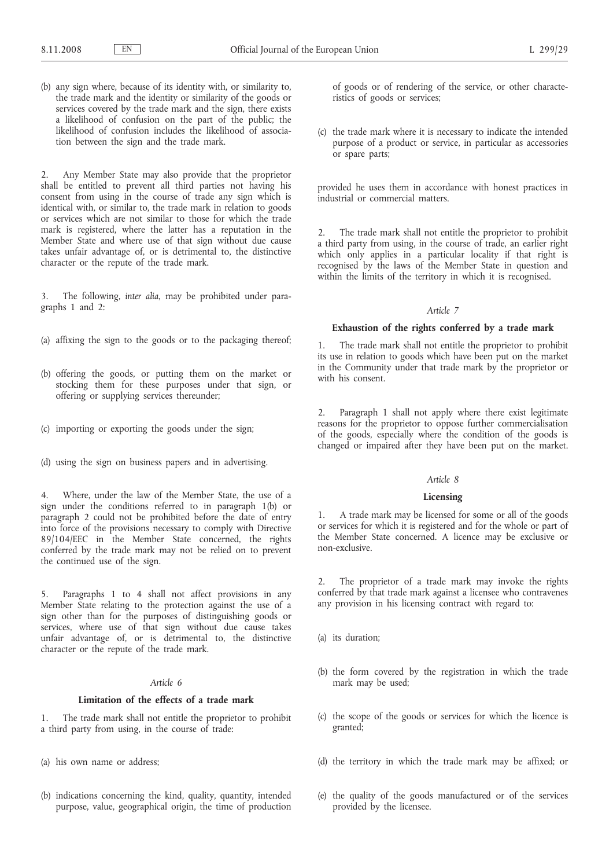(b) any sign where, because of its identity with, or similarity to, the trade mark and the identity or similarity of the goods or services covered by the trade mark and the sign, there exists a likelihood of confusion on the part of the public; the likelihood of confusion includes the likelihood of association between the sign and the trade mark.

2. Any Member State may also provide that the proprietor shall be entitled to prevent all third parties not having his consent from using in the course of trade any sign which is identical with, or similar to, the trade mark in relation to goods or services which are not similar to those for which the trade mark is registered, where the latter has a reputation in the Member State and where use of that sign without due cause takes unfair advantage of, or is detrimental to, the distinctive character or the repute of the trade mark.

3. The following, *inter alia*, may be prohibited under paragraphs 1 and 2:

- (a) affixing the sign to the goods or to the packaging thereof;
- (b) offering the goods, or putting them on the market or stocking them for these purposes under that sign, or offering or supplying services thereunder;
- (c) importing or exporting the goods under the sign;
- (d) using the sign on business papers and in advertising.

4. Where, under the law of the Member State, the use of a sign under the conditions referred to in paragraph 1(b) or paragraph 2 could not be prohibited before the date of entry into force of the provisions necessary to comply with Directive 89/104/EEC in the Member State concerned, the rights conferred by the trade mark may not be relied on to prevent the continued use of the sign.

5. Paragraphs 1 to 4 shall not affect provisions in any Member State relating to the protection against the use of a sign other than for the purposes of distinguishing goods or services, where use of that sign without due cause takes unfair advantage of, or is detrimental to, the distinctive character or the repute of the trade mark.

## *Article 6*

#### **Limitation of the effects of a trade mark**

1. The trade mark shall not entitle the proprietor to prohibit a third party from using, in the course of trade:

- (a) his own name or address;
- (b) indications concerning the kind, quality, quantity, intended purpose, value, geographical origin, the time of production

of goods or of rendering of the service, or other characteristics of goods or services;

(c) the trade mark where it is necessary to indicate the intended purpose of a product or service, in particular as accessories or spare parts;

provided he uses them in accordance with honest practices in industrial or commercial matters.

2. The trade mark shall not entitle the proprietor to prohibit a third party from using, in the course of trade, an earlier right which only applies in a particular locality if that right is recognised by the laws of the Member State in question and within the limits of the territory in which it is recognised.

## *Article 7*

#### **Exhaustion of the rights conferred by a trade mark**

1. The trade mark shall not entitle the proprietor to prohibit its use in relation to goods which have been put on the market in the Community under that trade mark by the proprietor or with his consent.

2. Paragraph 1 shall not apply where there exist legitimate reasons for the proprietor to oppose further commercialisation of the goods, especially where the condition of the goods is changed or impaired after they have been put on the market.

#### *Article 8*

#### **Licensing**

1. A trade mark may be licensed for some or all of the goods or services for which it is registered and for the whole or part of the Member State concerned. A licence may be exclusive or non-exclusive.

2. The proprietor of a trade mark may invoke the rights conferred by that trade mark against a licensee who contravenes any provision in his licensing contract with regard to:

- (a) its duration;
- (b) the form covered by the registration in which the trade mark may be used;
- (c) the scope of the goods or services for which the licence is granted;
- (d) the territory in which the trade mark may be affixed; or
- (e) the quality of the goods manufactured or of the services provided by the licensee.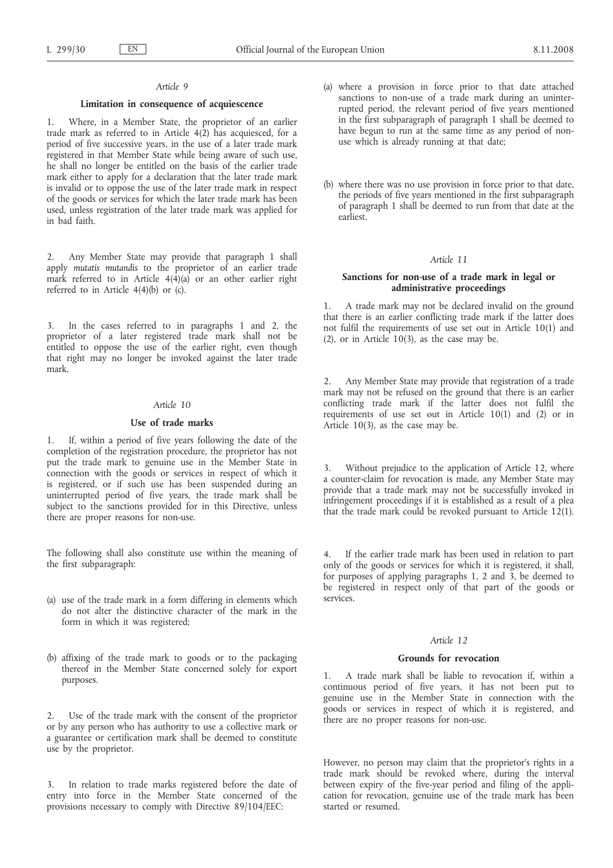#### *Article 9*

### **Limitation in consequence of acquiescence**

1. Where, in a Member State, the proprietor of an earlier trade mark as referred to in Article  $4(2)$  has acquiesced, for a period of five successive years, in the use of a later trade mark registered in that Member State while being aware of such use, he shall no longer be entitled on the basis of the earlier trade mark either to apply for a declaration that the later trade mark is invalid or to oppose the use of the later trade mark in respect of the goods or services for which the later trade mark has been used, unless registration of the later trade mark was applied for in bad faith.

2. Any Member State may provide that paragraph 1 shall apply *mutatis mutandis* to the proprietor of an earlier trade mark referred to in Article  $4(\hat{4})(a)$  or an other earlier right referred to in Article 4(4)(b) or (c).

3. In the cases referred to in paragraphs 1 and 2, the proprietor of a later registered trade mark shall not be entitled to oppose the use of the earlier right, even though that right may no longer be invoked against the later trade mark.

#### *Article 10*

### **Use of trade marks**

1. If, within a period of five years following the date of the completion of the registration procedure, the proprietor has not put the trade mark to genuine use in the Member State in connection with the goods or services in respect of which it is registered, or if such use has been suspended during an uninterrupted period of five years, the trade mark shall be subject to the sanctions provided for in this Directive, unless there are proper reasons for non-use.

The following shall also constitute use within the meaning of the first subparagraph:

- (a) use of the trade mark in a form differing in elements which do not alter the distinctive character of the mark in the form in which it was registered;
- (b) affixing of the trade mark to goods or to the packaging thereof in the Member State concerned solely for export purposes.

2. Use of the trade mark with the consent of the proprietor or by any person who has authority to use a collective mark or a guarantee or certification mark shall be deemed to constitute use by the proprietor.

3. In relation to trade marks registered before the date of entry into force in the Member State concerned of the provisions necessary to comply with Directive 89/104/EEC:

- (a) where a provision in force prior to that date attached sanctions to non-use of a trade mark during an uninterrupted period, the relevant period of five years mentioned in the first subparagraph of paragraph 1 shall be deemed to have begun to run at the same time as any period of nonuse which is already running at that date;
- (b) where there was no use provision in force prior to that date, the periods of five years mentioned in the first subparagraph of paragraph 1 shall be deemed to run from that date at the earliest.

#### *Article 11*

### **Sanctions for non-use of a trade mark in legal or administrative proceedings**

1. A trade mark may not be declared invalid on the ground that there is an earlier conflicting trade mark if the latter does not fulfil the requirements of use set out in Article 10(1) and  $(2)$ , or in Article 10 $(3)$ , as the case may be.

2. Any Member State may provide that registration of a trade mark may not be refused on the ground that there is an earlier conflicting trade mark if the latter does not fulfil the requirements of use set out in Article 10(1) and (2) or in Article 10(3), as the case may be.

Without prejudice to the application of Article 12, where a counter-claim for revocation is made, any Member State may provide that a trade mark may not be successfully invoked in infringement proceedings if it is established as a result of a plea that the trade mark could be revoked pursuant to Article  $12(1)$ .

4. If the earlier trade mark has been used in relation to part only of the goods or services for which it is registered, it shall, for purposes of applying paragraphs 1, 2 and 3, be deemed to be registered in respect only of that part of the goods or services.

### *Article 12*

#### **Grounds for revocation**

1. A trade mark shall be liable to revocation if, within a continuous period of five years, it has not been put to genuine use in the Member State in connection with the goods or services in respect of which it is registered, and there are no proper reasons for non-use.

However, no person may claim that the proprietor's rights in a trade mark should be revoked where, during the interval between expiry of the five-year period and filing of the application for revocation, genuine use of the trade mark has been started or resumed.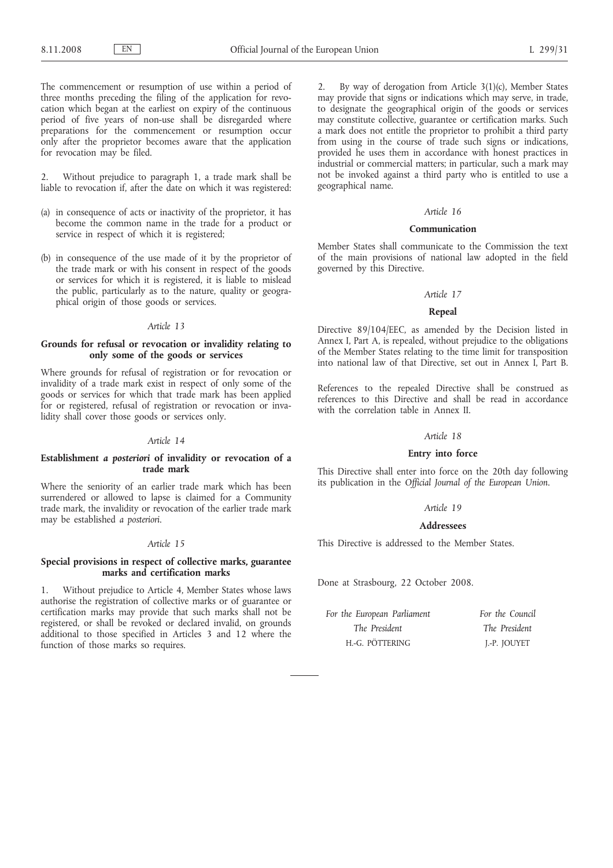The commencement or resumption of use within a period of three months preceding the filing of the application for revocation which began at the earliest on expiry of the continuous period of five years of non-use shall be disregarded where preparations for the commencement or resumption occur only after the proprietor becomes aware that the application for revocation may be filed.

2. Without prejudice to paragraph 1, a trade mark shall be liable to revocation if, after the date on which it was registered:

- (a) in consequence of acts or inactivity of the proprietor, it has become the common name in the trade for a product or service in respect of which it is registered;
- (b) in consequence of the use made of it by the proprietor of the trade mark or with his consent in respect of the goods or services for which it is registered, it is liable to mislead the public, particularly as to the nature, quality or geographical origin of those goods or services.

#### *Article 13*

### **Grounds for refusal or revocation or invalidity relating to only some of the goods or services**

Where grounds for refusal of registration or for revocation or invalidity of a trade mark exist in respect of only some of the goods or services for which that trade mark has been applied for or registered, refusal of registration or revocation or invalidity shall cover those goods or services only.

#### *Article 14*

### **Establishment** *a posteriori* **of invalidity or revocation of a trade mark**

Where the seniority of an earlier trade mark which has been surrendered or allowed to lapse is claimed for a Community trade mark, the invalidity or revocation of the earlier trade mark may be established *a posteriori*.

#### *Article 15*

### **Special provisions in respect of collective marks, guarantee marks and certification marks**

1. Without prejudice to Article 4, Member States whose laws authorise the registration of collective marks or of guarantee or certification marks may provide that such marks shall not be registered, or shall be revoked or declared invalid, on grounds additional to those specified in Articles 3 and 12 where the function of those marks so requires.

2. By way of derogation from Article 3(1)(c), Member States may provide that signs or indications which may serve, in trade, to designate the geographical origin of the goods or services may constitute collective, guarantee or certification marks. Such a mark does not entitle the proprietor to prohibit a third party from using in the course of trade such signs or indications, provided he uses them in accordance with honest practices in industrial or commercial matters; in particular, such a mark may not be invoked against a third party who is entitled to use a geographical name.

## *Article 16*

### **Communication**

Member States shall communicate to the Commission the text of the main provisions of national law adopted in the field governed by this Directive.

#### *Article 17*

#### **Repeal**

Directive 89/104/EEC, as amended by the Decision listed in Annex I, Part A, is repealed, without prejudice to the obligations of the Member States relating to the time limit for transposition into national law of that Directive, set out in Annex I, Part B.

References to the repealed Directive shall be construed as references to this Directive and shall be read in accordance with the correlation table in Annex II.

## *Article 18*

#### **Entry into force**

This Directive shall enter into force on the 20th day following its publication in the *Official Journal of the European Union*.

## *Article 19*

#### **Addressees**

This Directive is addressed to the Member States.

Done at Strasbourg, 22 October 2008.

| For the European Parliament | For the Council |
|-----------------------------|-----------------|
| The President               | The President   |
| H.-G. PÖTTERING             | J.-P. JOUYET    |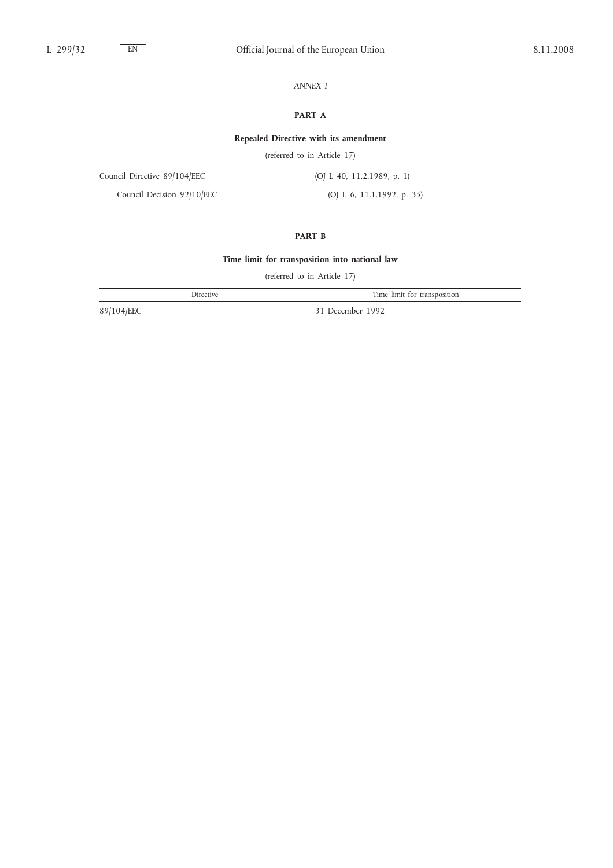*ANNEX I*

## **PART A**

### **Repealed Directive with its amendment**

(referred to in Article 17)

Council Directive 89/104/EEC (OJ L 40, 11.2.1989, p. 1)

Council Decision 92/10/EEC (OJ L 6, 11.1.1992, p. 35)

# **PART B**

## **Time limit for transposition into national law**

(referred to in Article 17)

| Directive  | Time limit for transposition |
|------------|------------------------------|
| 89/104/EEC | 31 December 1992             |